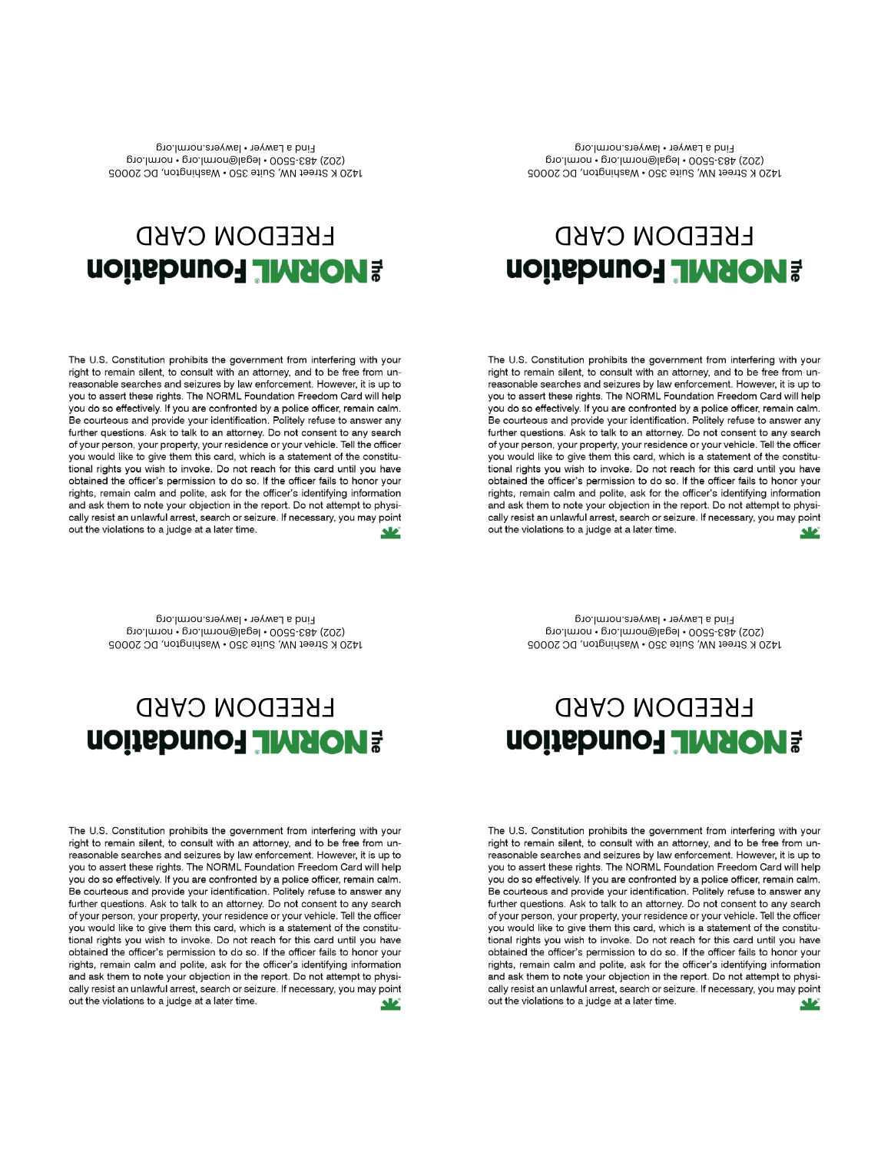The U.S. Constitution prohibits the government from interfering with your right to remain silent, to consult with an attorney, and to be free from unreasonable searches and seizures by law enforcement. However, it is up to you to assert these rights. The NORML Foundation Freedom Card will help you do so effectively. If you are confronted by a police officer, remain calm. Be courteous and provide your identification. Politely refuse to answer any further questions. Ask to talk to an attorney. Do not consent to any search of your person, your property, your residence or your vehicle. Tell the officer you would like to give them this card, which is a statement of the constitutional rights you wish to invoke. Do not reach for this card until you have obtained the officer's permission to do so. If the officer fails to honor your rights, remain calm and polite, ask for the officer's identifying information and ask them to note your objection in the report. Do not attempt to physically resist an unlawful arrest, search or seizure. If necessary, you may point out the violations to a judge at a later time.

you to assert these rights. The NORML Foundation Freedom Card will help you do so effectively. If you are confronted by a police officer, remain calm.<br>Be courteous and provide your identification. Politely refuse to answer any further questions. Ask to talk to an attorney. Do not consent to any search of your person, your property, your residence or your vehicle. Tell the officer you would like to give them this card, which is a statement of the constitutional rights you wish to invoke. Do not reach for this card until you have obtained the officer's permission to do so. If the officer fails to honor your rights, remain calm and polite, ask for the officer's identifying information and ask them to note your objection in the report. Do not attempt to physically resist an unlawful arrest, search or seizure. If necessary, you may point out the violations to a judge at a later time.

**Find a Lawyer • lawyers.norml.org**

## **1420 K Street NW, Suite 350 • Washington, DC 20005 (202) 483-5500 • legal@norml.org • norml.org**

**FREEDOM CARD**

**ADRML Foundation** 

**FREEDOM CARD**

**1420 K Street NW, Suite 350 • Washington, DC 20005 (202) 483-5500 • legal@norml.org • norml.org Find a Lawyer • lawyers.norml.org**

The U.S. Constitution prohibits the government from interfering with your right to remain silent, to consult with an attorney, and to be free from unreasonable searches and seizures by law enforcement. However, it is up to you to assert these rights. The NORML Foundation Freedom Card will help you do so effectively. If you are confronted by a police officer, remain calm. Be courteous and provide your identification. Politely refuse to answer any further questions. Ask to talk to an attorney. Do not consent to any search of your person, your property, your residence or your vehicle. Tell the officer you would like to give them this card, which is a statement of the constitutional rights you wish to invoke. Do not reach for this card until you have obtained the officer's permission to do so. If the officer fails to honor your rights, remain calm and polite, ask for the officer's identifying information and ask them to note your objection in the report. Do not attempt to physically resist an unlawful arrest, search or seizure. If necessary, you may point out the violations to a judge at a later time.

## **ADRML Foundation**

## **FREEDOM CARD PRIME FOUNDATION**

The U.S. Constitution prohibits the government from interfering with your

right to remain silent, to consult with an attorney, and to be free from un-

reasonable searches and seizures by law enforcement. However, it is up to you to assert these rights. The NORML Foundation Freedom Card will help

you do so effectively. If you are confronted by a police officer, remain calm. Be courteous and provide your identification. Politely refuse to answer any

further questions. Ask to talk to an attorney. Do not consent to any search

of your person, your property, your residence or your vehicle. Tell the officer

you would like to give them this card, which is a statement of the constitu-

tional rights you wish to invoke. Do not reach for this card until you have

obtained the officer's permission to do so. If the officer fails to honor your

rights, remain calm and polite, ask for the officer's identifying information

out the violations to a judge at a later time.

**1420 K Street NW, Suite 350 • Washington, DC 20005 (202) 483-5500 • legal@norml.org • norml.org Find a Lawyer • lawyers.norml.org**

**1420 K Street NW, Suite 350 • Washington, DC 20005 (202) 483-5500 • legal@norml.org • norml.org Find a Lawyer • lawyers.norml.org**

**FREEDOM CARD**

**PRIME FOUNDATION** 

The U.S. Constitution prohibits the government from interfering with your

right to remain silent, to consult with an attorney, and to be free from un-

reasonable searches and seizures by law enforcement. However, it is up to

and ask them to note your objection in the report. Do not attempt to physically resist an unlawful arrest, search or seizure. If necessary, you may point

ᄮ